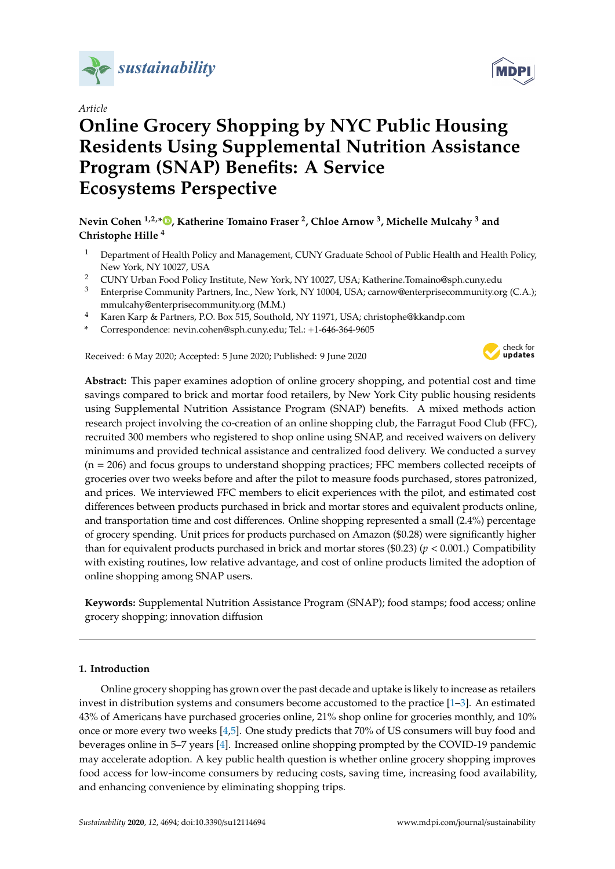

*Article*

# **Online Grocery Shopping by NYC Public Housing Residents Using Supplemental Nutrition Assistance Program (SNAP) Benefits: A Service Ecosystems Perspective**

# **Nevin Cohen 1,2,[\\*](https://orcid.org/0000-0003-4961-572X) , Katherine Tomaino Fraser <sup>2</sup> , Chloe Arnow <sup>3</sup> , Michelle Mulcahy <sup>3</sup> and Christophe Hille <sup>4</sup>**

- <sup>1</sup> Department of Health Policy and Management, CUNY Graduate School of Public Health and Health Policy, New York, NY 10027, USA
- <sup>2</sup> CUNY Urban Food Policy Institute, New York, NY 10027, USA; Katherine.Tomaino@sph.cuny.edu<br><sup>3</sup> Enterprise Community Partners, Inc., New York, NY 10004, USA; camery@opterprise.community.org
- Enterprise Community Partners, Inc., New York, NY 10004, USA; carnow@enterprisecommunity.org (C.A.); mmulcahy@enterprisecommunity.org (M.M.)
- <sup>4</sup> Karen Karp & Partners, P.O. Box 515, Southold, NY 11971, USA; christophe@kkandp.com
- **\*** Correspondence: nevin.cohen@sph.cuny.edu; Tel.: +1-646-364-9605

Received: 6 May 2020; Accepted: 5 June 2020; Published: 9 June 2020



**Abstract:** This paper examines adoption of online grocery shopping, and potential cost and time savings compared to brick and mortar food retailers, by New York City public housing residents using Supplemental Nutrition Assistance Program (SNAP) benefits. A mixed methods action research project involving the co-creation of an online shopping club, the Farragut Food Club (FFC), recruited 300 members who registered to shop online using SNAP, and received waivers on delivery minimums and provided technical assistance and centralized food delivery. We conducted a survey (n = 206) and focus groups to understand shopping practices; FFC members collected receipts of groceries over two weeks before and after the pilot to measure foods purchased, stores patronized, and prices. We interviewed FFC members to elicit experiences with the pilot, and estimated cost differences between products purchased in brick and mortar stores and equivalent products online, and transportation time and cost differences. Online shopping represented a small (2.4%) percentage of grocery spending. Unit prices for products purchased on Amazon (\$0.28) were significantly higher than for equivalent products purchased in brick and mortar stores (\$0.23) (*p* < 0.001.) Compatibility with existing routines, low relative advantage, and cost of online products limited the adoption of online shopping among SNAP users.

**Keywords:** Supplemental Nutrition Assistance Program (SNAP); food stamps; food access; online grocery shopping; innovation diffusion

# **1. Introduction**

Online grocery shopping has grown over the past decade and uptake is likely to increase as retailers invest in distribution systems and consumers become accustomed to the practice [\[1–](#page-11-0)[3\]](#page-11-1). An estimated 43% of Americans have purchased groceries online, 21% shop online for groceries monthly, and 10% once or more every two weeks [\[4](#page-11-2)[,5\]](#page-11-3). One study predicts that 70% of US consumers will buy food and beverages online in 5–7 years [\[4\]](#page-11-2). Increased online shopping prompted by the COVID-19 pandemic may accelerate adoption. A key public health question is whether online grocery shopping improves food access for low-income consumers by reducing costs, saving time, increasing food availability, and enhancing convenience by eliminating shopping trips.

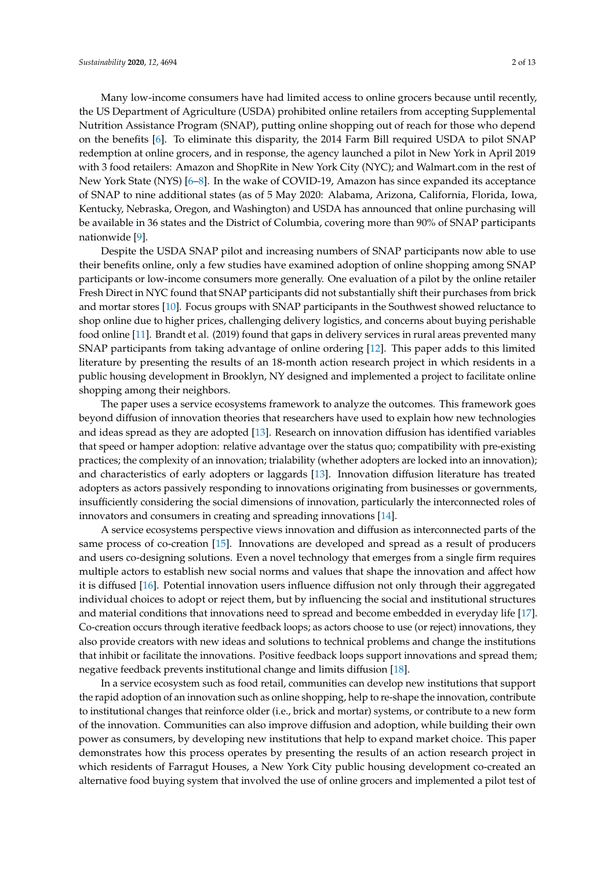Many low-income consumers have had limited access to online grocers because until recently, the US Department of Agriculture (USDA) prohibited online retailers from accepting Supplemental Nutrition Assistance Program (SNAP), putting online shopping out of reach for those who depend on the benefits [\[6\]](#page-11-4). To eliminate this disparity, the 2014 Farm Bill required USDA to pilot SNAP redemption at online grocers, and in response, the agency launched a pilot in New York in April 2019 with 3 food retailers: Amazon and ShopRite in New York City (NYC); and Walmart.com in the rest of New York State (NYS) [\[6](#page-11-4)[–8\]](#page-11-5). In the wake of COVID-19, Amazon has since expanded its acceptance of SNAP to nine additional states (as of 5 May 2020: Alabama, Arizona, California, Florida, Iowa, Kentucky, Nebraska, Oregon, and Washington) and USDA has announced that online purchasing will be available in 36 states and the District of Columbia, covering more than 90% of SNAP participants nationwide [\[9\]](#page-11-6).

Despite the USDA SNAP pilot and increasing numbers of SNAP participants now able to use their benefits online, only a few studies have examined adoption of online shopping among SNAP participants or low-income consumers more generally. One evaluation of a pilot by the online retailer Fresh Direct in NYC found that SNAP participants did not substantially shift their purchases from brick and mortar stores [\[10\]](#page-11-7). Focus groups with SNAP participants in the Southwest showed reluctance to shop online due to higher prices, challenging delivery logistics, and concerns about buying perishable food online [\[11\]](#page-11-8). Brandt et al. (2019) found that gaps in delivery services in rural areas prevented many SNAP participants from taking advantage of online ordering [\[12\]](#page-11-9). This paper adds to this limited literature by presenting the results of an 18-month action research project in which residents in a public housing development in Brooklyn, NY designed and implemented a project to facilitate online shopping among their neighbors.

The paper uses a service ecosystems framework to analyze the outcomes. This framework goes beyond diffusion of innovation theories that researchers have used to explain how new technologies and ideas spread as they are adopted [\[13\]](#page-11-10). Research on innovation diffusion has identified variables that speed or hamper adoption: relative advantage over the status quo; compatibility with pre-existing practices; the complexity of an innovation; trialability (whether adopters are locked into an innovation); and characteristics of early adopters or laggards [\[13\]](#page-11-10). Innovation diffusion literature has treated adopters as actors passively responding to innovations originating from businesses or governments, insufficiently considering the social dimensions of innovation, particularly the interconnected roles of innovators and consumers in creating and spreading innovations [\[14\]](#page-11-11).

A service ecosystems perspective views innovation and diffusion as interconnected parts of the same process of co-creation [\[15\]](#page-11-12). Innovations are developed and spread as a result of producers and users co-designing solutions. Even a novel technology that emerges from a single firm requires multiple actors to establish new social norms and values that shape the innovation and affect how it is diffused [\[16\]](#page-11-13). Potential innovation users influence diffusion not only through their aggregated individual choices to adopt or reject them, but by influencing the social and institutional structures and material conditions that innovations need to spread and become embedded in everyday life [\[17\]](#page-12-0). Co-creation occurs through iterative feedback loops; as actors choose to use (or reject) innovations, they also provide creators with new ideas and solutions to technical problems and change the institutions that inhibit or facilitate the innovations. Positive feedback loops support innovations and spread them; negative feedback prevents institutional change and limits diffusion [\[18\]](#page-12-1).

In a service ecosystem such as food retail, communities can develop new institutions that support the rapid adoption of an innovation such as online shopping, help to re-shape the innovation, contribute to institutional changes that reinforce older (i.e., brick and mortar) systems, or contribute to a new form of the innovation. Communities can also improve diffusion and adoption, while building their own power as consumers, by developing new institutions that help to expand market choice. This paper demonstrates how this process operates by presenting the results of an action research project in which residents of Farragut Houses, a New York City public housing development co-created an alternative food buying system that involved the use of online grocers and implemented a pilot test of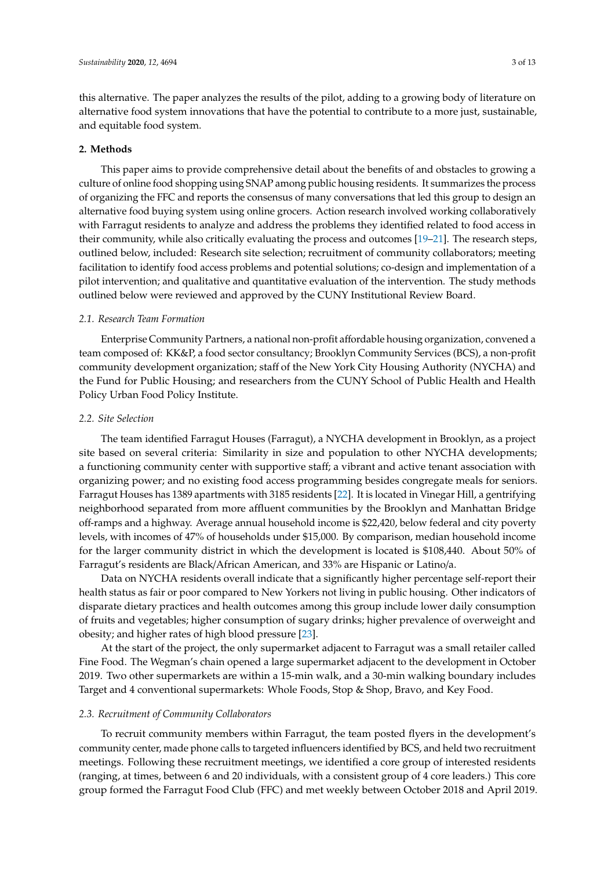this alternative. The paper analyzes the results of the pilot, adding to a growing body of literature on alternative food system innovations that have the potential to contribute to a more just, sustainable, and equitable food system.

#### **2. Methods**

This paper aims to provide comprehensive detail about the benefits of and obstacles to growing a culture of online food shopping using SNAP among public housing residents. It summarizes the process of organizing the FFC and reports the consensus of many conversations that led this group to design an alternative food buying system using online grocers. Action research involved working collaboratively with Farragut residents to analyze and address the problems they identified related to food access in their community, while also critically evaluating the process and outcomes [\[19](#page-12-2)[–21\]](#page-12-3). The research steps, outlined below, included: Research site selection; recruitment of community collaborators; meeting facilitation to identify food access problems and potential solutions; co-design and implementation of a pilot intervention; and qualitative and quantitative evaluation of the intervention. The study methods outlined below were reviewed and approved by the CUNY Institutional Review Board.

#### *2.1. Research Team Formation*

Enterprise Community Partners, a national non-profit affordable housing organization, convened a team composed of: KK&P, a food sector consultancy; Brooklyn Community Services (BCS), a non-profit community development organization; staff of the New York City Housing Authority (NYCHA) and the Fund for Public Housing; and researchers from the CUNY School of Public Health and Health Policy Urban Food Policy Institute.

#### *2.2. Site Selection*

The team identified Farragut Houses (Farragut), a NYCHA development in Brooklyn, as a project site based on several criteria: Similarity in size and population to other NYCHA developments; a functioning community center with supportive staff; a vibrant and active tenant association with organizing power; and no existing food access programming besides congregate meals for seniors. Farragut Houses has 1389 apartments with 3185 residents [\[22\]](#page-12-4). It is located in Vinegar Hill, a gentrifying neighborhood separated from more affluent communities by the Brooklyn and Manhattan Bridge off-ramps and a highway. Average annual household income is \$22,420, below federal and city poverty levels, with incomes of 47% of households under \$15,000. By comparison, median household income for the larger community district in which the development is located is \$108,440. About 50% of Farragut's residents are Black/African American, and 33% are Hispanic or Latino/a.

Data on NYCHA residents overall indicate that a significantly higher percentage self-report their health status as fair or poor compared to New Yorkers not living in public housing. Other indicators of disparate dietary practices and health outcomes among this group include lower daily consumption of fruits and vegetables; higher consumption of sugary drinks; higher prevalence of overweight and obesity; and higher rates of high blood pressure [\[23\]](#page-12-5).

At the start of the project, the only supermarket adjacent to Farragut was a small retailer called Fine Food. The Wegman's chain opened a large supermarket adjacent to the development in October 2019. Two other supermarkets are within a 15-min walk, and a 30-min walking boundary includes Target and 4 conventional supermarkets: Whole Foods, Stop & Shop, Bravo, and Key Food.

#### *2.3. Recruitment of Community Collaborators*

To recruit community members within Farragut, the team posted flyers in the development's community center, made phone calls to targeted influencers identified by BCS, and held two recruitment meetings. Following these recruitment meetings, we identified a core group of interested residents (ranging, at times, between 6 and 20 individuals, with a consistent group of 4 core leaders.) This core group formed the Farragut Food Club (FFC) and met weekly between October 2018 and April 2019.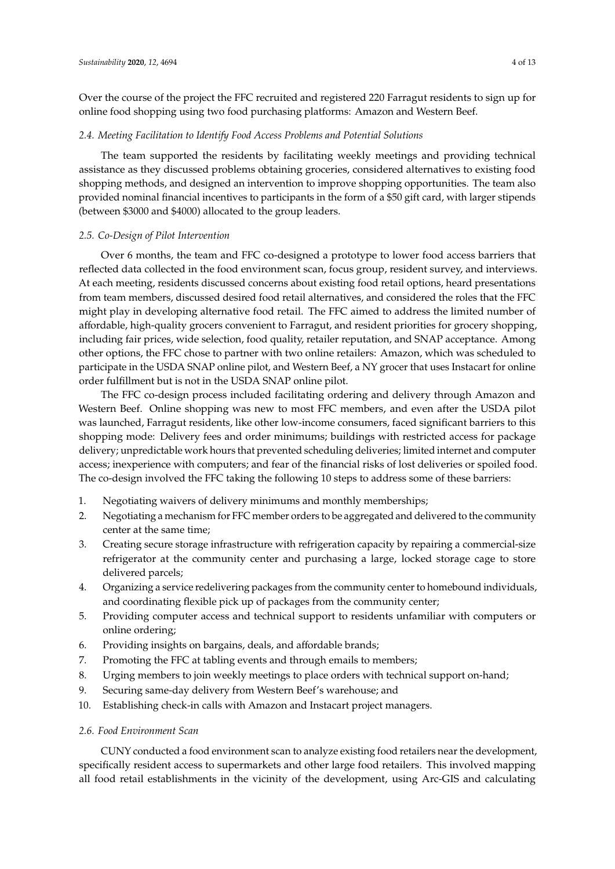Over the course of the project the FFC recruited and registered 220 Farragut residents to sign up for online food shopping using two food purchasing platforms: Amazon and Western Beef.

#### *2.4. Meeting Facilitation to Identify Food Access Problems and Potential Solutions*

The team supported the residents by facilitating weekly meetings and providing technical assistance as they discussed problems obtaining groceries, considered alternatives to existing food shopping methods, and designed an intervention to improve shopping opportunities. The team also provided nominal financial incentives to participants in the form of a \$50 gift card, with larger stipends (between \$3000 and \$4000) allocated to the group leaders.

#### *2.5. Co-Design of Pilot Intervention*

Over 6 months, the team and FFC co-designed a prototype to lower food access barriers that reflected data collected in the food environment scan, focus group, resident survey, and interviews. At each meeting, residents discussed concerns about existing food retail options, heard presentations from team members, discussed desired food retail alternatives, and considered the roles that the FFC might play in developing alternative food retail. The FFC aimed to address the limited number of affordable, high-quality grocers convenient to Farragut, and resident priorities for grocery shopping, including fair prices, wide selection, food quality, retailer reputation, and SNAP acceptance. Among other options, the FFC chose to partner with two online retailers: Amazon, which was scheduled to participate in the USDA SNAP online pilot, and Western Beef, a NY grocer that uses Instacart for online order fulfillment but is not in the USDA SNAP online pilot.

The FFC co-design process included facilitating ordering and delivery through Amazon and Western Beef. Online shopping was new to most FFC members, and even after the USDA pilot was launched, Farragut residents, like other low-income consumers, faced significant barriers to this shopping mode: Delivery fees and order minimums; buildings with restricted access for package delivery; unpredictable work hours that prevented scheduling deliveries; limited internet and computer access; inexperience with computers; and fear of the financial risks of lost deliveries or spoiled food. The co-design involved the FFC taking the following 10 steps to address some of these barriers:

- 1. Negotiating waivers of delivery minimums and monthly memberships;
- 2. Negotiating a mechanism for FFC member orders to be aggregated and delivered to the community center at the same time;
- 3. Creating secure storage infrastructure with refrigeration capacity by repairing a commercial-size refrigerator at the community center and purchasing a large, locked storage cage to store delivered parcels;
- 4. Organizing a service redelivering packages from the community center to homebound individuals, and coordinating flexible pick up of packages from the community center;
- 5. Providing computer access and technical support to residents unfamiliar with computers or online ordering;
- 6. Providing insights on bargains, deals, and affordable brands;
- 7. Promoting the FFC at tabling events and through emails to members;
- 8. Urging members to join weekly meetings to place orders with technical support on-hand;
- 9. Securing same-day delivery from Western Beef's warehouse; and
- 10. Establishing check-in calls with Amazon and Instacart project managers.

#### *2.6. Food Environment Scan*

CUNY conducted a food environment scan to analyze existing food retailers near the development, specifically resident access to supermarkets and other large food retailers. This involved mapping all food retail establishments in the vicinity of the development, using Arc-GIS and calculating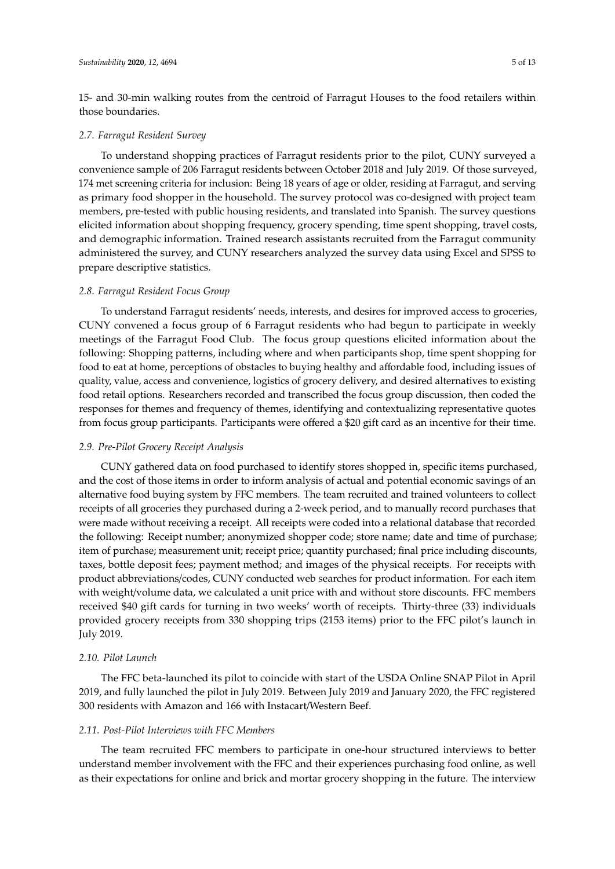15- and 30-min walking routes from the centroid of Farragut Houses to the food retailers within those boundaries.

# *2.7. Farragut Resident Survey*

To understand shopping practices of Farragut residents prior to the pilot, CUNY surveyed a convenience sample of 206 Farragut residents between October 2018 and July 2019. Of those surveyed, 174 met screening criteria for inclusion: Being 18 years of age or older, residing at Farragut, and serving as primary food shopper in the household. The survey protocol was co-designed with project team members, pre-tested with public housing residents, and translated into Spanish. The survey questions elicited information about shopping frequency, grocery spending, time spent shopping, travel costs, and demographic information. Trained research assistants recruited from the Farragut community administered the survey, and CUNY researchers analyzed the survey data using Excel and SPSS to prepare descriptive statistics.

#### *2.8. Farragut Resident Focus Group*

To understand Farragut residents' needs, interests, and desires for improved access to groceries, CUNY convened a focus group of 6 Farragut residents who had begun to participate in weekly meetings of the Farragut Food Club. The focus group questions elicited information about the following: Shopping patterns, including where and when participants shop, time spent shopping for food to eat at home, perceptions of obstacles to buying healthy and affordable food, including issues of quality, value, access and convenience, logistics of grocery delivery, and desired alternatives to existing food retail options. Researchers recorded and transcribed the focus group discussion, then coded the responses for themes and frequency of themes, identifying and contextualizing representative quotes from focus group participants. Participants were offered a \$20 gift card as an incentive for their time.

# <span id="page-4-0"></span>*2.9. Pre-Pilot Grocery Receipt Analysis*

CUNY gathered data on food purchased to identify stores shopped in, specific items purchased, and the cost of those items in order to inform analysis of actual and potential economic savings of an alternative food buying system by FFC members. The team recruited and trained volunteers to collect receipts of all groceries they purchased during a 2-week period, and to manually record purchases that were made without receiving a receipt. All receipts were coded into a relational database that recorded the following: Receipt number; anonymized shopper code; store name; date and time of purchase; item of purchase; measurement unit; receipt price; quantity purchased; final price including discounts, taxes, bottle deposit fees; payment method; and images of the physical receipts. For receipts with product abbreviations/codes, CUNY conducted web searches for product information. For each item with weight/volume data, we calculated a unit price with and without store discounts. FFC members received \$40 gift cards for turning in two weeks' worth of receipts. Thirty-three (33) individuals provided grocery receipts from 330 shopping trips (2153 items) prior to the FFC pilot's launch in July 2019.

# *2.10. Pilot Launch*

The FFC beta-launched its pilot to coincide with start of the USDA Online SNAP Pilot in April 2019, and fully launched the pilot in July 2019. Between July 2019 and January 2020, the FFC registered 300 residents with Amazon and 166 with Instacart/Western Beef.

#### *2.11. Post-Pilot Interviews with FFC Members*

The team recruited FFC members to participate in one-hour structured interviews to better understand member involvement with the FFC and their experiences purchasing food online, as well as their expectations for online and brick and mortar grocery shopping in the future. The interview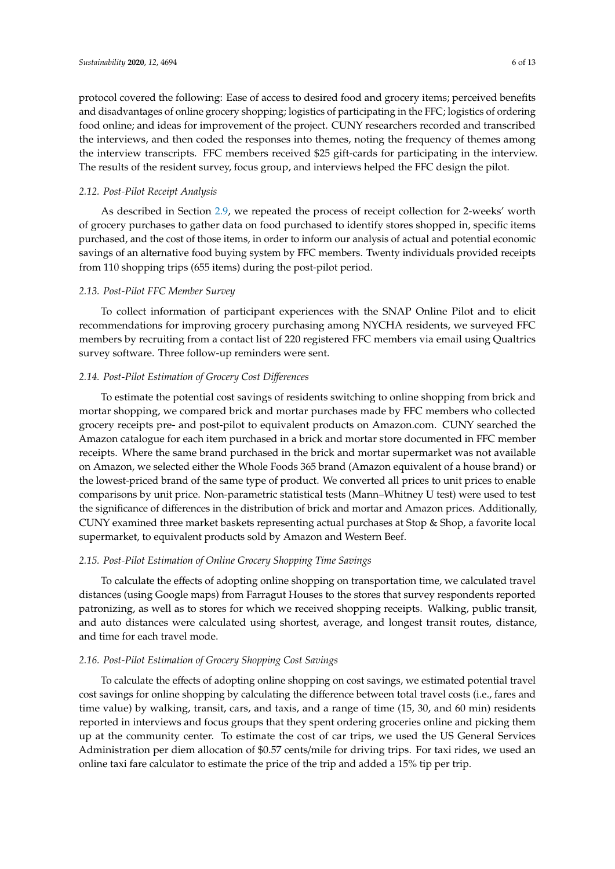protocol covered the following: Ease of access to desired food and grocery items; perceived benefits and disadvantages of online grocery shopping; logistics of participating in the FFC; logistics of ordering food online; and ideas for improvement of the project. CUNY researchers recorded and transcribed the interviews, and then coded the responses into themes, noting the frequency of themes among the interview transcripts. FFC members received \$25 gift-cards for participating in the interview. The results of the resident survey, focus group, and interviews helped the FFC design the pilot.

# *2.12. Post-Pilot Receipt Analysis*

As described in Section [2.9,](#page-4-0) we repeated the process of receipt collection for 2-weeks' worth of grocery purchases to gather data on food purchased to identify stores shopped in, specific items purchased, and the cost of those items, in order to inform our analysis of actual and potential economic savings of an alternative food buying system by FFC members. Twenty individuals provided receipts from 110 shopping trips (655 items) during the post-pilot period.

# *2.13. Post-Pilot FFC Member Survey*

To collect information of participant experiences with the SNAP Online Pilot and to elicit recommendations for improving grocery purchasing among NYCHA residents, we surveyed FFC members by recruiting from a contact list of 220 registered FFC members via email using Qualtrics survey software. Three follow-up reminders were sent.

# *2.14. Post-Pilot Estimation of Grocery Cost Di*ff*erences*

To estimate the potential cost savings of residents switching to online shopping from brick and mortar shopping, we compared brick and mortar purchases made by FFC members who collected grocery receipts pre- and post-pilot to equivalent products on Amazon.com. CUNY searched the Amazon catalogue for each item purchased in a brick and mortar store documented in FFC member receipts. Where the same brand purchased in the brick and mortar supermarket was not available on Amazon, we selected either the Whole Foods 365 brand (Amazon equivalent of a house brand) or the lowest-priced brand of the same type of product. We converted all prices to unit prices to enable comparisons by unit price. Non-parametric statistical tests (Mann–Whitney U test) were used to test the significance of differences in the distribution of brick and mortar and Amazon prices. Additionally, CUNY examined three market baskets representing actual purchases at Stop & Shop, a favorite local supermarket, to equivalent products sold by Amazon and Western Beef.

# *2.15. Post-Pilot Estimation of Online Grocery Shopping Time Savings*

To calculate the effects of adopting online shopping on transportation time, we calculated travel distances (using Google maps) from Farragut Houses to the stores that survey respondents reported patronizing, as well as to stores for which we received shopping receipts. Walking, public transit, and auto distances were calculated using shortest, average, and longest transit routes, distance, and time for each travel mode.

# *2.16. Post-Pilot Estimation of Grocery Shopping Cost Savings*

To calculate the effects of adopting online shopping on cost savings, we estimated potential travel cost savings for online shopping by calculating the difference between total travel costs (i.e., fares and time value) by walking, transit, cars, and taxis, and a range of time (15, 30, and 60 min) residents reported in interviews and focus groups that they spent ordering groceries online and picking them up at the community center. To estimate the cost of car trips, we used the US General Services Administration per diem allocation of \$0.57 cents/mile for driving trips. For taxi rides, we used an online taxi fare calculator to estimate the price of the trip and added a 15% tip per trip.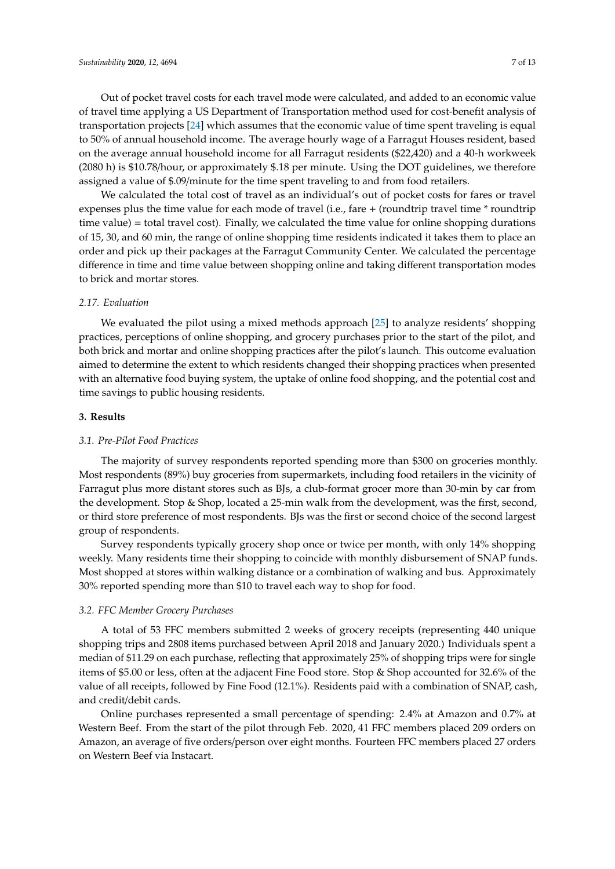Out of pocket travel costs for each travel mode were calculated, and added to an economic value of travel time applying a US Department of Transportation method used for cost-benefit analysis of transportation projects [\[24\]](#page-12-6) which assumes that the economic value of time spent traveling is equal to 50% of annual household income. The average hourly wage of a Farragut Houses resident, based on the average annual household income for all Farragut residents (\$22,420) and a 40-h workweek (2080 h) is \$10.78/hour, or approximately \$.18 per minute. Using the DOT guidelines, we therefore assigned a value of \$.09/minute for the time spent traveling to and from food retailers.

We calculated the total cost of travel as an individual's out of pocket costs for fares or travel expenses plus the time value for each mode of travel (i.e., fare + (roundtrip travel time \* roundtrip time value) = total travel cost). Finally, we calculated the time value for online shopping durations of 15, 30, and 60 min, the range of online shopping time residents indicated it takes them to place an order and pick up their packages at the Farragut Community Center. We calculated the percentage difference in time and time value between shopping online and taking different transportation modes to brick and mortar stores.

#### *2.17. Evaluation*

We evaluated the pilot using a mixed methods approach [\[25\]](#page-12-7) to analyze residents' shopping practices, perceptions of online shopping, and grocery purchases prior to the start of the pilot, and both brick and mortar and online shopping practices after the pilot's launch. This outcome evaluation aimed to determine the extent to which residents changed their shopping practices when presented with an alternative food buying system, the uptake of online food shopping, and the potential cost and time savings to public housing residents.

#### **3. Results**

# *3.1. Pre-Pilot Food Practices*

The majority of survey respondents reported spending more than \$300 on groceries monthly. Most respondents (89%) buy groceries from supermarkets, including food retailers in the vicinity of Farragut plus more distant stores such as BJs, a club-format grocer more than 30-min by car from the development. Stop & Shop, located a 25-min walk from the development, was the first, second, or third store preference of most respondents. BJs was the first or second choice of the second largest group of respondents.

Survey respondents typically grocery shop once or twice per month, with only 14% shopping weekly. Many residents time their shopping to coincide with monthly disbursement of SNAP funds. Most shopped at stores within walking distance or a combination of walking and bus. Approximately 30% reported spending more than \$10 to travel each way to shop for food.

# *3.2. FFC Member Grocery Purchases*

A total of 53 FFC members submitted 2 weeks of grocery receipts (representing 440 unique shopping trips and 2808 items purchased between April 2018 and January 2020.) Individuals spent a median of \$11.29 on each purchase, reflecting that approximately 25% of shopping trips were for single items of \$5.00 or less, often at the adjacent Fine Food store. Stop & Shop accounted for 32.6% of the value of all receipts, followed by Fine Food (12.1%). Residents paid with a combination of SNAP, cash, and credit/debit cards.

Online purchases represented a small percentage of spending: 2.4% at Amazon and 0.7% at Western Beef. From the start of the pilot through Feb. 2020, 41 FFC members placed 209 orders on Amazon, an average of five orders/person over eight months. Fourteen FFC members placed 27 orders on Western Beef via Instacart.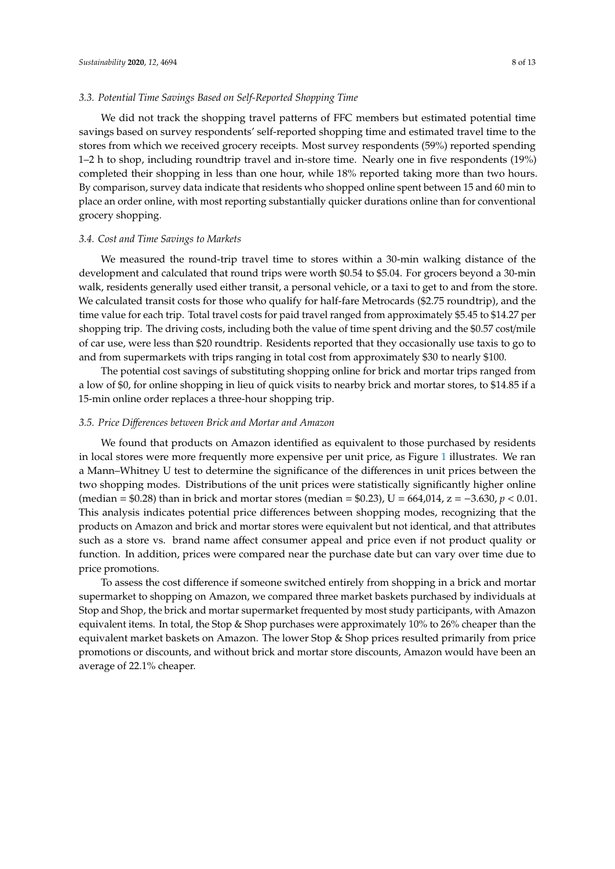We did not track the shopping travel patterns of FFC members but estimated potential time savings based on survey respondents' self-reported shopping time and estimated travel time to the stores from which we received grocery receipts. Most survey respondents (59%) reported spending 1–2 h to shop, including roundtrip travel and in-store time. Nearly one in five respondents (19%) completed their shopping in less than one hour, while 18% reported taking more than two hours. By comparison, survey data indicate that residents who shopped online spent between 15 and 60 min to place an order online, with most reporting substantially quicker durations online than for conventional grocery shopping.

#### *3.4. Cost and Time Savings to Markets*

We measured the round-trip travel time to stores within a 30-min walking distance of the development and calculated that round trips were worth \$0.54 to \$5.04. For grocers beyond a 30-min walk, residents generally used either transit, a personal vehicle, or a taxi to get to and from the store. We calculated transit costs for those who qualify for half-fare Metrocards (\$2.75 roundtrip), and the time value for each trip. Total travel costs for paid travel ranged from approximately \$5.45 to \$14.27 per shopping trip. The driving costs, including both the value of time spent driving and the \$0.57 cost/mile of car use, were less than \$20 roundtrip. Residents reported that they occasionally use taxis to go to and from supermarkets with trips ranging in total cost from approximately \$30 to nearly \$100.

The potential cost savings of substituting shopping online for brick and mortar trips ranged from a low of \$0, for online shopping in lieu of quick visits to nearby brick and mortar stores, to \$14.85 if a 15-min online order replaces a three-hour shopping trip.

#### *3.5. Price Di*ff*erences between Brick and Mortar and Amazon*

We found that products on Amazon identified as equivalent to those purchased by residents in local stores were more frequently more expensive per unit price, as Figure [1](#page-8-0) illustrates. We ran a Mann–Whitney U test to determine the significance of the differences in unit prices between the two shopping modes. Distributions of the unit prices were statistically significantly higher online (median = \$0.28) than in brick and mortar stores (median = \$0.23), U = 664,014, z = −3.630, *p* < 0.01. This analysis indicates potential price differences between shopping modes, recognizing that the products on Amazon and brick and mortar stores were equivalent but not identical, and that attributes such as a store vs. brand name affect consumer appeal and price even if not product quality or function. In addition, prices were compared near the purchase date but can vary over time due to price promotions.

To assess the cost difference if someone switched entirely from shopping in a brick and mortar supermarket to shopping on Amazon, we compared three market baskets purchased by individuals at Stop and Shop, the brick and mortar supermarket frequented by most study participants, with Amazon equivalent items. In total, the Stop & Shop purchases were approximately 10% to 26% cheaper than the equivalent market baskets on Amazon. The lower Stop & Shop prices resulted primarily from price promotions or discounts, and without brick and mortar store discounts, Amazon would have been an average of 22.1% cheaper.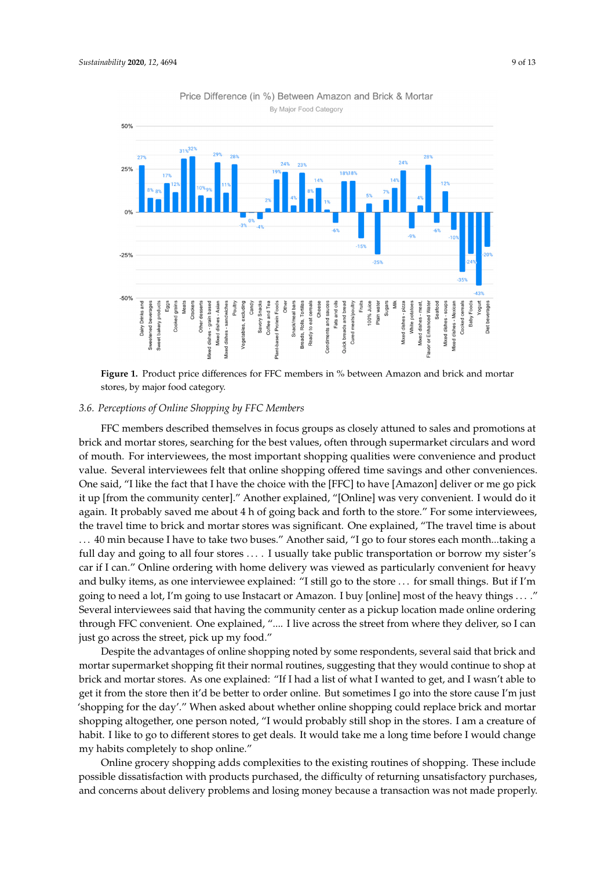<span id="page-8-0"></span>

Price Difference (in %) Between Amazon and Brick & Mortar By Major Food Category

stores, by major food category. **Figure 3. FIGURE 1. Product** and more stores, by major food category. **Figure 1.** Product price differences for FFC members in % between Amazon and brick and mortar

# 3.6. Perceptions of Online Shopping by FFC Members

FFC members described themselves in focus groups as closely attuned to sales and promotions at brick and mortar stores, searching for the best values, often through supermarket circulars and word of mouth. For interviewees, the most important shopping qualities were convenience and product value. Several interviewees felt that online shopping offered time savings and other conveniences. One said, "I like the fact that I have the choice with the [FFC] to have [Amazon] deliver or me go pick it up [from the community center]." Another explained, "[Online] was very convenient. I would do it again. It probably saved me about 4 h of going back and forth to the store." For some interviewees, the travel time to brick and mortar stores was significant. One explained, "The travel time is about . . . 40 min because I have to take two buses." Another said, "I go to four stores each month...taking a full day and going to all four stores ... . I usually take public transportation or borrow my sister's car if I can." Online ordering with home delivery was viewed as particularly convenient for heavy and bulky items, as one interviewee explained: "I still go to the store . . . for small things. But if I'm going to need a lot, I'm going to use Instacart or Amazon. I buy [online] most of the heavy things . . . ." Several interviewees said that having the community center as a pickup location made online ordering through FFC convenient. One explained, ".... I live across the street from where they deliver, so I can just go across the street, pick up my food."

Despite the advantages of online shopping noted by some respondents, several said that brick and mortar supermarket shopping fit their normal routines, suggesting that they would continue to shop at brick and mortar stores. As one explained: "If I had a list of what I wanted to get, and I wasn't able to get it from the store then it'd be better to order online. But sometimes I go into the store cause I'm just 'shopping for the day'." When asked about whether online shopping could replace brick and mortar shopping altogether, one person noted, "I would probably still shop in the stores. I am a creature of habit. I like to go to different stores to get deals. It would take me a long time before I would change my habits completely to shop online."

Online grocery shopping adds complexities to the existing routines of shopping. These include possible dissatisfaction with products purchased, the difficulty of returning unsatisfactory purchases, and concerns about delivery problems and losing money because a transaction was not made properly.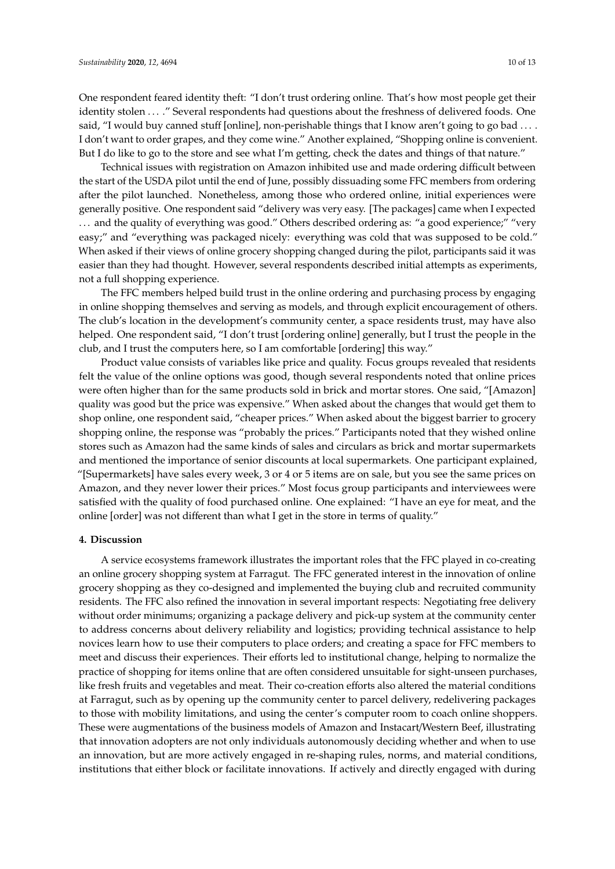One respondent feared identity theft: "I don't trust ordering online. That's how most people get their identity stolen ... ." Several respondents had questions about the freshness of delivered foods. One said, "I would buy canned stuff [online], non-perishable things that I know aren't going to go bad . . . . I don't want to order grapes, and they come wine." Another explained, "Shopping online is convenient. But I do like to go to the store and see what I'm getting, check the dates and things of that nature."

Technical issues with registration on Amazon inhibited use and made ordering difficult between the start of the USDA pilot until the end of June, possibly dissuading some FFC members from ordering after the pilot launched. Nonetheless, among those who ordered online, initial experiences were generally positive. One respondent said "delivery was very easy. [The packages] came when I expected . . . and the quality of everything was good." Others described ordering as: "a good experience;" "very easy;" and "everything was packaged nicely: everything was cold that was supposed to be cold." When asked if their views of online grocery shopping changed during the pilot, participants said it was easier than they had thought. However, several respondents described initial attempts as experiments, not a full shopping experience.

The FFC members helped build trust in the online ordering and purchasing process by engaging in online shopping themselves and serving as models, and through explicit encouragement of others. The club's location in the development's community center, a space residents trust, may have also helped. One respondent said, "I don't trust [ordering online] generally, but I trust the people in the club, and I trust the computers here, so I am comfortable [ordering] this way."

Product value consists of variables like price and quality. Focus groups revealed that residents felt the value of the online options was good, though several respondents noted that online prices were often higher than for the same products sold in brick and mortar stores. One said, "[Amazon] quality was good but the price was expensive." When asked about the changes that would get them to shop online, one respondent said, "cheaper prices." When asked about the biggest barrier to grocery shopping online, the response was "probably the prices." Participants noted that they wished online stores such as Amazon had the same kinds of sales and circulars as brick and mortar supermarkets and mentioned the importance of senior discounts at local supermarkets. One participant explained, "[Supermarkets] have sales every week, 3 or 4 or 5 items are on sale, but you see the same prices on Amazon, and they never lower their prices." Most focus group participants and interviewees were satisfied with the quality of food purchased online. One explained: "I have an eye for meat, and the online [order] was not different than what I get in the store in terms of quality."

#### **4. Discussion**

A service ecosystems framework illustrates the important roles that the FFC played in co-creating an online grocery shopping system at Farragut. The FFC generated interest in the innovation of online grocery shopping as they co-designed and implemented the buying club and recruited community residents. The FFC also refined the innovation in several important respects: Negotiating free delivery without order minimums; organizing a package delivery and pick-up system at the community center to address concerns about delivery reliability and logistics; providing technical assistance to help novices learn how to use their computers to place orders; and creating a space for FFC members to meet and discuss their experiences. Their efforts led to institutional change, helping to normalize the practice of shopping for items online that are often considered unsuitable for sight-unseen purchases, like fresh fruits and vegetables and meat. Their co-creation efforts also altered the material conditions at Farragut, such as by opening up the community center to parcel delivery, redelivering packages to those with mobility limitations, and using the center's computer room to coach online shoppers. These were augmentations of the business models of Amazon and Instacart/Western Beef, illustrating that innovation adopters are not only individuals autonomously deciding whether and when to use an innovation, but are more actively engaged in re-shaping rules, norms, and material conditions, institutions that either block or facilitate innovations. If actively and directly engaged with during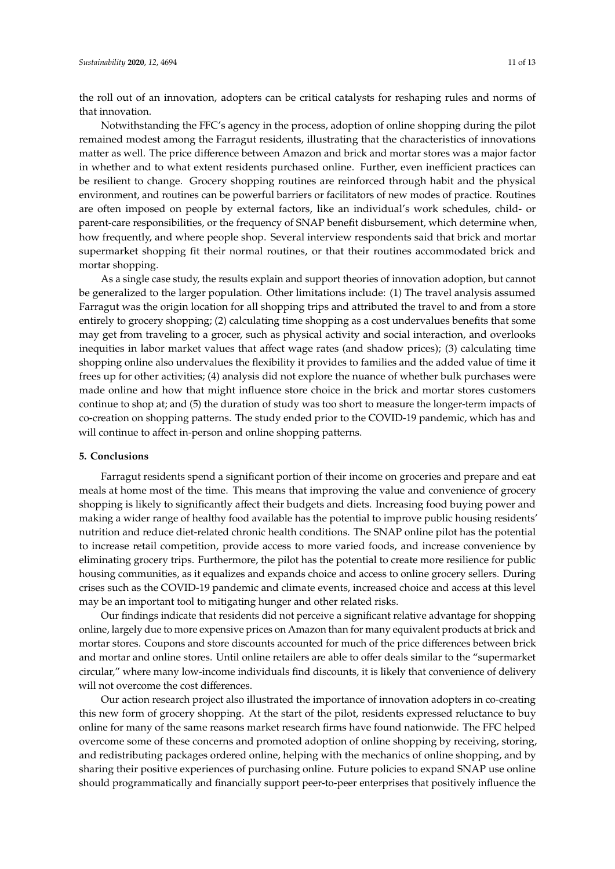the roll out of an innovation, adopters can be critical catalysts for reshaping rules and norms of that innovation.

Notwithstanding the FFC's agency in the process, adoption of online shopping during the pilot remained modest among the Farragut residents, illustrating that the characteristics of innovations matter as well. The price difference between Amazon and brick and mortar stores was a major factor in whether and to what extent residents purchased online. Further, even inefficient practices can be resilient to change. Grocery shopping routines are reinforced through habit and the physical environment, and routines can be powerful barriers or facilitators of new modes of practice. Routines are often imposed on people by external factors, like an individual's work schedules, child- or parent-care responsibilities, or the frequency of SNAP benefit disbursement, which determine when, how frequently, and where people shop. Several interview respondents said that brick and mortar supermarket shopping fit their normal routines, or that their routines accommodated brick and mortar shopping.

As a single case study, the results explain and support theories of innovation adoption, but cannot be generalized to the larger population. Other limitations include: (1) The travel analysis assumed Farragut was the origin location for all shopping trips and attributed the travel to and from a store entirely to grocery shopping; (2) calculating time shopping as a cost undervalues benefits that some may get from traveling to a grocer, such as physical activity and social interaction, and overlooks inequities in labor market values that affect wage rates (and shadow prices); (3) calculating time shopping online also undervalues the flexibility it provides to families and the added value of time it frees up for other activities; (4) analysis did not explore the nuance of whether bulk purchases were made online and how that might influence store choice in the brick and mortar stores customers continue to shop at; and (5) the duration of study was too short to measure the longer-term impacts of co-creation on shopping patterns. The study ended prior to the COVID-19 pandemic, which has and will continue to affect in-person and online shopping patterns.

#### **5. Conclusions**

Farragut residents spend a significant portion of their income on groceries and prepare and eat meals at home most of the time. This means that improving the value and convenience of grocery shopping is likely to significantly affect their budgets and diets. Increasing food buying power and making a wider range of healthy food available has the potential to improve public housing residents' nutrition and reduce diet-related chronic health conditions. The SNAP online pilot has the potential to increase retail competition, provide access to more varied foods, and increase convenience by eliminating grocery trips. Furthermore, the pilot has the potential to create more resilience for public housing communities, as it equalizes and expands choice and access to online grocery sellers. During crises such as the COVID-19 pandemic and climate events, increased choice and access at this level may be an important tool to mitigating hunger and other related risks.

Our findings indicate that residents did not perceive a significant relative advantage for shopping online, largely due to more expensive prices on Amazon than for many equivalent products at brick and mortar stores. Coupons and store discounts accounted for much of the price differences between brick and mortar and online stores. Until online retailers are able to offer deals similar to the "supermarket circular," where many low-income individuals find discounts, it is likely that convenience of delivery will not overcome the cost differences.

Our action research project also illustrated the importance of innovation adopters in co-creating this new form of grocery shopping. At the start of the pilot, residents expressed reluctance to buy online for many of the same reasons market research firms have found nationwide. The FFC helped overcome some of these concerns and promoted adoption of online shopping by receiving, storing, and redistributing packages ordered online, helping with the mechanics of online shopping, and by sharing their positive experiences of purchasing online. Future policies to expand SNAP use online should programmatically and financially support peer-to-peer enterprises that positively influence the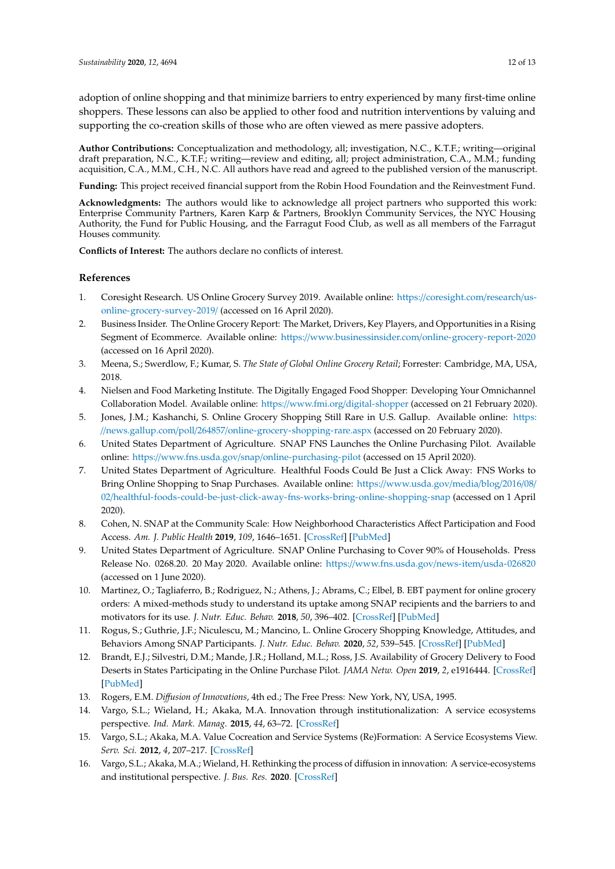adoption of online shopping and that minimize barriers to entry experienced by many first-time online shoppers. These lessons can also be applied to other food and nutrition interventions by valuing and supporting the co-creation skills of those who are often viewed as mere passive adopters.

**Author Contributions:** Conceptualization and methodology, all; investigation, N.C., K.T.F.; writing—original draft preparation, N.C., K.T.F.; writing—review and editing, all; project administration, C.A., M.M.; funding acquisition, C.A., M.M., C.H., N.C. All authors have read and agreed to the published version of the manuscript.

**Funding:** This project received financial support from the Robin Hood Foundation and the Reinvestment Fund.

**Acknowledgments:** The authors would like to acknowledge all project partners who supported this work: Enterprise Community Partners, Karen Karp & Partners, Brooklyn Community Services, the NYC Housing Authority, the Fund for Public Housing, and the Farragut Food Club, as well as all members of the Farragut Houses community.

**Conflicts of Interest:** The authors declare no conflicts of interest.

# **References**

- <span id="page-11-0"></span>1. Coresight Research. US Online Grocery Survey 2019. Available online: https://[coresight.com](https://coresight.com/research/us-online-grocery-survey-2019/)/research/us[online-grocery-survey-2019](https://coresight.com/research/us-online-grocery-survey-2019/)/ (accessed on 16 April 2020).
- 2. Business Insider. The Online Grocery Report: The Market, Drivers, Key Players, and Opportunities in a Rising Segment of Ecommerce. Available online: https://www.businessinsider.com/[online-grocery-report-2020](https://www.businessinsider.com/online-grocery-report-2020) (accessed on 16 April 2020).
- <span id="page-11-1"></span>3. Meena, S.; Swerdlow, F.; Kumar, S. *The State of Global Online Grocery Retail*; Forrester: Cambridge, MA, USA, 2018.
- <span id="page-11-2"></span>4. Nielsen and Food Marketing Institute. The Digitally Engaged Food Shopper: Developing Your Omnichannel Collaboration Model. Available online: https://www.fmi.org/[digital-shopper](https://www.fmi.org/digital-shopper) (accessed on 21 February 2020).
- <span id="page-11-3"></span>5. Jones, J.M.; Kashanchi, S. Online Grocery Shopping Still Rare in U.S. Gallup. Available online: [https:](https://news.gallup.com/poll/264857/online-grocery-shopping-rare.aspx) //news.gallup.com/poll/264857/[online-grocery-shopping-rare.aspx](https://news.gallup.com/poll/264857/online-grocery-shopping-rare.aspx) (accessed on 20 February 2020).
- <span id="page-11-4"></span>6. United States Department of Agriculture. SNAP FNS Launches the Online Purchasing Pilot. Available online: https://www.fns.usda.gov/snap/[online-purchasing-pilot](https://www.fns.usda.gov/snap/online-purchasing-pilot) (accessed on 15 April 2020).
- 7. United States Department of Agriculture. Healthful Foods Could Be Just a Click Away: FNS Works to Bring Online Shopping to Snap Purchases. Available online: https://[www.usda.gov](https://www.usda.gov/media/blog/2016/08/02/healthful-foods-could-be-just-click-away-fns-works-bring-online-shopping-snap)/media/blog/2016/08/ 02/[healthful-foods-could-be-just-click-away-fns-works-bring-online-shopping-snap](https://www.usda.gov/media/blog/2016/08/02/healthful-foods-could-be-just-click-away-fns-works-bring-online-shopping-snap) (accessed on 1 April 2020).
- <span id="page-11-5"></span>8. Cohen, N. SNAP at the Community Scale: How Neighborhood Characteristics Affect Participation and Food Access. *Am. J. Public Health* **2019**, *109*, 1646–1651. [\[CrossRef\]](http://dx.doi.org/10.2105/AJPH.2019.305363) [\[PubMed\]](http://www.ncbi.nlm.nih.gov/pubmed/31622136)
- <span id="page-11-6"></span>9. United States Department of Agriculture. SNAP Online Purchasing to Cover 90% of Households. Press Release No. 0268.20. 20 May 2020. Available online: https://[www.fns.usda.gov](https://www.fns.usda.gov/news-item/usda-026820)/news-item/usda-026820 (accessed on 1 June 2020).
- <span id="page-11-7"></span>10. Martinez, O.; Tagliaferro, B.; Rodriguez, N.; Athens, J.; Abrams, C.; Elbel, B. EBT payment for online grocery orders: A mixed-methods study to understand its uptake among SNAP recipients and the barriers to and motivators for its use. *J. Nutr. Educ. Behav.* **2018**, *50*, 396–402. [\[CrossRef\]](http://dx.doi.org/10.1016/j.jneb.2017.10.003) [\[PubMed\]](http://www.ncbi.nlm.nih.gov/pubmed/29187304)
- <span id="page-11-8"></span>11. Rogus, S.; Guthrie, J.F.; Niculescu, M.; Mancino, L. Online Grocery Shopping Knowledge, Attitudes, and Behaviors Among SNAP Participants. *J. Nutr. Educ. Behav.* **2020**, *52*, 539–545. [\[CrossRef\]](http://dx.doi.org/10.1016/j.jneb.2019.11.015) [\[PubMed\]](http://www.ncbi.nlm.nih.gov/pubmed/31870741)
- <span id="page-11-9"></span>12. Brandt, E.J.; Silvestri, D.M.; Mande, J.R.; Holland, M.L.; Ross, J.S. Availability of Grocery Delivery to Food Deserts in States Participating in the Online Purchase Pilot. *JAMA Netw. Open* **2019**, *2*, e1916444. [\[CrossRef\]](http://dx.doi.org/10.1001/jamanetworkopen.2019.16444) [\[PubMed\]](http://www.ncbi.nlm.nih.gov/pubmed/31790562)
- <span id="page-11-10"></span>13. Rogers, E.M. *Di*ff*usion of Innovations*, 4th ed.; The Free Press: New York, NY, USA, 1995.
- <span id="page-11-11"></span>14. Vargo, S.L.; Wieland, H.; Akaka, M.A. Innovation through institutionalization: A service ecosystems perspective. *Ind. Mark. Manag.* **2015**, *44*, 63–72. [\[CrossRef\]](http://dx.doi.org/10.1016/j.indmarman.2014.10.008)
- <span id="page-11-12"></span>15. Vargo, S.L.; Akaka, M.A. Value Cocreation and Service Systems (Re)Formation: A Service Ecosystems View. *Serv. Sci.* **2012**, *4*, 207–217. [\[CrossRef\]](http://dx.doi.org/10.1287/serv.1120.0019)
- <span id="page-11-13"></span>16. Vargo, S.L.; Akaka, M.A.; Wieland, H. Rethinking the process of diffusion in innovation: A service-ecosystems and institutional perspective. *J. Bus. Res.* **2020**. [\[CrossRef\]](http://dx.doi.org/10.1016/j.jbusres.2020.01.038)